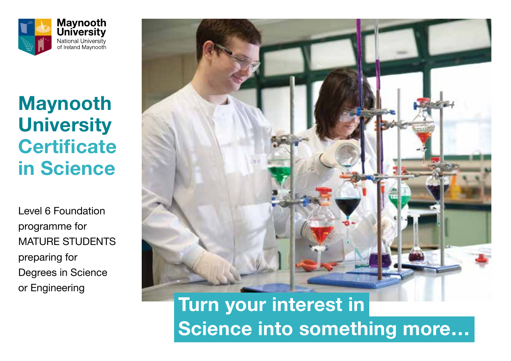

# **Maynooth University Certificate in Science**

Level 6 Foundation programme for MATURE STUDENTS preparing for Degrees in Science or Engineering



**Turn your interest in Science into something more…**